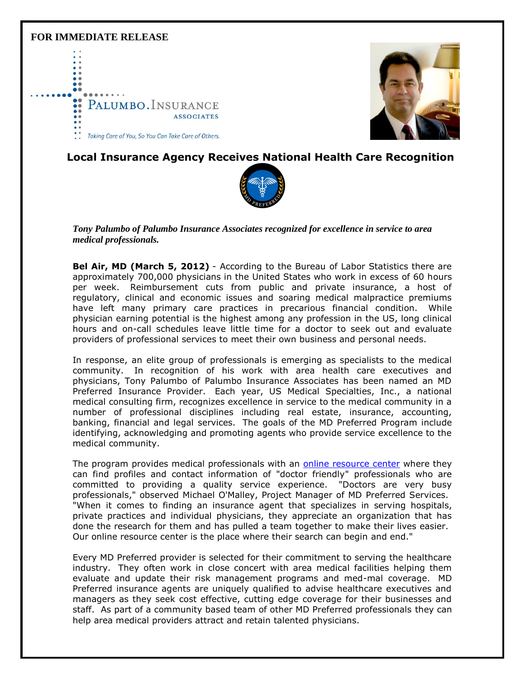### **FOR IMMEDIATE RELEASE**





# **Local Insurance Agency Receives National Health Care Recognition**



*Tony Palumbo of Palumbo Insurance Associates recognized for excellence in service to area medical professionals.*

**Bel Air, MD (March 5, 2012)** - According to the Bureau of Labor Statistics there are approximately 700,000 physicians in the United States who work in excess of 60 hours per week. Reimbursement cuts from public and private insurance, a host of regulatory, clinical and economic issues and soaring medical malpractice premiums have left many primary care practices in precarious financial condition. While physician earning potential is the highest among any profession in the US, long clinical hours and on-call schedules leave little time for a doctor to seek out and evaluate providers of professional services to meet their own business and personal needs.

In response, an elite group of professionals is emerging as specialists to the medical community. In recognition of his work with area health care executives and physicians, Tony Palumbo of Palumbo Insurance Associates has been named an MD Preferred Insurance Provider. Each year, US Medical Specialties, Inc., a national medical consulting firm, recognizes excellence in service to the medical community in a number of professional disciplines including real estate, insurance, accounting, banking, financial and legal services. The goals of the MD Preferred Program include identifying, acknowledging and promoting agents who provide service excellence to the medical community.

The program provides medical professionals with an [online resource center](http://r20.rs6.net/tn.jsp?et=1109648330660&s=0&e=001vGvhlEAQmIQzYE7an1RF0uex3fMDsqEPvCfj8cP7GgokG7j1rshgPkVUJRo2fFCRrs0U9NsFeDCfZvqxsoFHL314v9lMbyt5g40yMB2wykfJ1AIfGhrXdg==) where they can find profiles and contact information of "doctor friendly" professionals who are committed to providing a quality service experience. "Doctors are very busy professionals," observed Michael O'Malley, Project Manager of MD Preferred Services. "When it comes to finding an insurance agent that specializes in serving hospitals, private practices and individual physicians, they appreciate an organization that has done the research for them and has pulled a team together to make their lives easier. Our online resource center is the place where their search can begin and end."

Every MD Preferred provider is selected for their commitment to serving the healthcare industry. They often work in close concert with area medical facilities helping them evaluate and update their risk management programs and med-mal coverage. MD Preferred insurance agents are uniquely qualified to advise healthcare executives and managers as they seek cost effective, cutting edge coverage for their businesses and staff. As part of a community based team of other MD Preferred professionals they can help area medical providers attract and retain talented physicians.